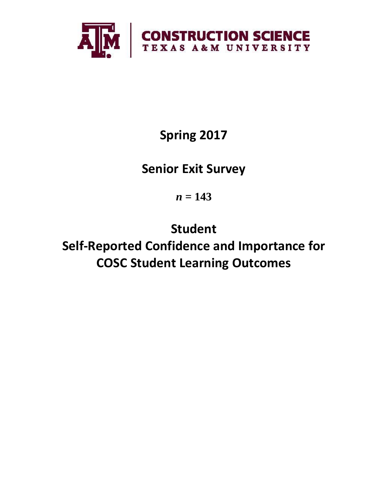

# **Spring 2017**

## **Senior Exit Survey**

*n* **= 143**

**Student Self-Reported Confidence and Importance for COSC Student Learning Outcomes**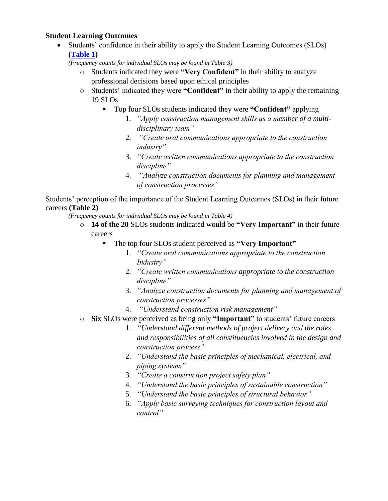### **Student Learning Outcomes**

• Students' confidence in their ability to apply the Student Learning Outcomes (SLOs) **[\(Table 1\)](#page-2-0)**

*(Frequency counts for individual SLOs may be found in Table 3)*

- o Students indicated they were **"Very Confident"** in their ability to analyze professional decisions based upon ethical principles
- o Students' indicated they were **"Confident"** in their ability to apply the remaining 19 SLOs
	- Top four SLOs students indicated they were **"Confident"** applying
		- 1. *"Apply construction management skills as a member of a multidisciplinary team"*
		- 2. *"Create oral communications appropriate to the construction industry"*
		- 3. *"Create written communications appropriate to the construction discipline"*
		- 4. *"Analyze construction documents for planning and management of construction processes"*

Students' perception of the importance of the Student Learning Outcomes (SLOs) in their future careers **(Table 2)**

*(Frequency counts for individual SLOs may be found in Table 4)*

- o **14 of the 20** SLOs students indicated would be **"Very Important"** in their future careers
	- The top four SLOs student perceived as **"Very Important"**
		- 1. *"Create oral communications appropriate to the construction Industry"*
		- 2. *"Create written communications appropriate to the construction discipline"*
		- 3. *"Analyze construction documents for planning and management of construction processes"*
		- 4. *"Understand construction risk management"*
- o **Six** SLOs were perceived as being only **"Important"** to students' future careers
	- 1. *"Understand different methods of project delivery and the roles and responsibilities of all constituencies involved in the design and construction process"*
	- 2. *"Understand the basic principles of mechanical, electrical, and piping systems"*
	- 3. *"Create a construction project safety plan"*
	- 4. *"Understand the basic principles of sustainable construction"*
	- 5. *"Understand the basic principles of structural behavior"*
	- 6. *"Apply basic surveying techniques for construction layout and control"*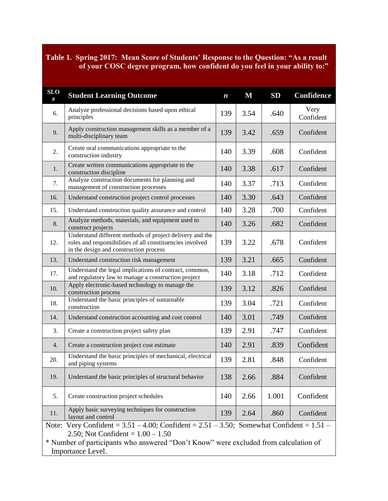## <span id="page-2-0"></span>**Table 1. Spring 2017: Mean Score of Students' Response to the Question: "As a result of your COSC degree program, how confident do you feel in your ability to:"**

| <b>SLO</b><br># | <b>Student Learning Outcome</b>                                                                                                                                                                                                                      | $\boldsymbol{n}$ | M    | SD    | <b>Confidence</b> |  |  |  |
|-----------------|------------------------------------------------------------------------------------------------------------------------------------------------------------------------------------------------------------------------------------------------------|------------------|------|-------|-------------------|--|--|--|
| 6.              | Analyze professional decisions based upon ethical<br>principles                                                                                                                                                                                      | 139              | 3.54 | .640  | Very<br>Confident |  |  |  |
| 9.              | Apply construction management skills as a member of a<br>multi-disciplinary team                                                                                                                                                                     | 139              | 3.42 | .659  | Confident         |  |  |  |
| 2.              | Create oral communications appropriate to the<br>construction industry                                                                                                                                                                               | 140              | 3.39 | .608  | Confident         |  |  |  |
| 1.              | Create written communications appropriate to the<br>140<br>construction discipline                                                                                                                                                                   |                  | 3.38 | .617  | Confident         |  |  |  |
| 7.              | Analyze construction documents for planning and<br>management of construction processes                                                                                                                                                              | 140              | 3.37 | .713  | Confident         |  |  |  |
| 16.             | Understand construction project control processes                                                                                                                                                                                                    | 140              | 3.30 | .643  | Confident         |  |  |  |
| 15.             | Understand construction quality assurance and control                                                                                                                                                                                                | 140              | 3.28 | .700  | Confident         |  |  |  |
| 8.              | Analyze methods, materials, and equipment used to<br>construct projects                                                                                                                                                                              | 140              | 3.26 | .682  | Confident         |  |  |  |
| 12.             | Understand different methods of project delivery and the<br>roles and responsibilities of all constituencies involved<br>in the design and construction process                                                                                      | 139              | 3.22 | .678  | Confident         |  |  |  |
| 13.             | Understand construction risk management                                                                                                                                                                                                              |                  | 3.21 | .665  | Confident         |  |  |  |
| 17.             | Understand the legal implications of contract, common,<br>and regulatory law to manage a construction project                                                                                                                                        |                  | 3.18 | .712  | Confident         |  |  |  |
| 10.             | Apply electronic-based technology to manage the<br>construction process                                                                                                                                                                              | 139              | 3.12 | .826  | Confident         |  |  |  |
| 18.             | Understand the basic principles of sustainable<br>construction                                                                                                                                                                                       | 139              | 3.04 | .721  | Confident         |  |  |  |
| 14.             | 3.01<br>Confident<br>Understand construction accounting and cost control<br>140<br>.749                                                                                                                                                              |                  |      |       |                   |  |  |  |
| 3.              | Create a construction project safety plan                                                                                                                                                                                                            | 139              | 2.91 | .747  | Confident         |  |  |  |
| 4.              | Create a construction project cost estimate                                                                                                                                                                                                          | 140              | 2.91 | .839  | Confident         |  |  |  |
| 20.             | Understand the basic principles of mechanical, electrical<br>and piping systems                                                                                                                                                                      |                  | 2.81 | .848  | Confident         |  |  |  |
| 19.             | Understand the basic principles of structural behavior                                                                                                                                                                                               |                  | 2.66 | .884  | Confident         |  |  |  |
| 5.              | Create construction project schedules                                                                                                                                                                                                                |                  | 2.66 | 1.001 | Confident         |  |  |  |
| 11.             | Apply basic surveying techniques for construction<br>layout and control                                                                                                                                                                              | 139              | 2.64 | .860  | Confident         |  |  |  |
|                 | Note: Very Confident = $3.51 - 4.00$ ; Confident = $2.51 - 3.50$ ; Somewhat Confident = $1.51 -$<br>2.50; Not Confident = $1.00 - 1.50$<br>* Number of participants who answered "Don't Know" were excluded from calculation of<br>Importance Level. |                  |      |       |                   |  |  |  |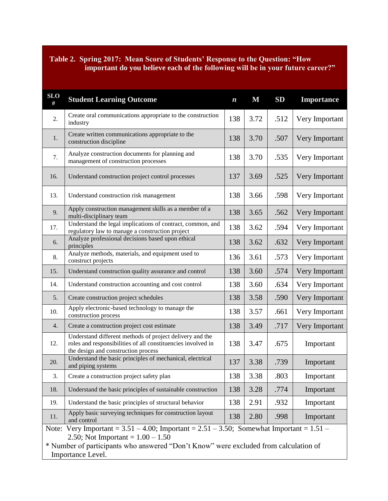### **Table 2. Spring 2017: Mean Score of Students' Response to the Question: "How important do you believe each of the following will be in your future career?"**

| <b>SLO</b><br># | <b>Student Learning Outcome</b>                                                                                                                                 | $\boldsymbol{n}$ | $\bf M$ | SD   | Importance     |  |  |
|-----------------|-----------------------------------------------------------------------------------------------------------------------------------------------------------------|------------------|---------|------|----------------|--|--|
| 2.              | Create oral communications appropriate to the construction<br>industry                                                                                          | 138              | 3.72    | .512 | Very Important |  |  |
| 1.              | Create written communications appropriate to the<br>138<br>construction discipline                                                                              |                  | 3.70    | .507 | Very Important |  |  |
| 7.              | Analyze construction documents for planning and<br>management of construction processes                                                                         | 138              | 3.70    | .535 | Very Important |  |  |
| 16.             | Understand construction project control processes                                                                                                               | 137              | 3.69    | .525 | Very Important |  |  |
| 13.             | Understand construction risk management                                                                                                                         | 138              | 3.66    | .598 | Very Important |  |  |
| 9.              | Apply construction management skills as a member of a<br>multi-disciplinary team                                                                                | 138              | 3.65    | .562 | Very Important |  |  |
| 17.             | Understand the legal implications of contract, common, and<br>regulatory law to manage a construction project                                                   | 138              | 3.62    | .594 | Very Important |  |  |
| 6.              | Analyze professional decisions based upon ethical<br>principles                                                                                                 | 138              | 3.62    | .632 | Very Important |  |  |
| 8.              | Analyze methods, materials, and equipment used to<br>construct projects                                                                                         |                  | 3.61    | .573 | Very Important |  |  |
| 15.             | Understand construction quality assurance and control                                                                                                           |                  | 3.60    | .574 | Very Important |  |  |
| 14.             | Understand construction accounting and cost control                                                                                                             | 138              | 3.60    | .634 | Very Important |  |  |
| 5.              | Create construction project schedules                                                                                                                           | 138              | 3.58    | .590 | Very Important |  |  |
| 10.             | Apply electronic-based technology to manage the<br>construction process                                                                                         | 138              | 3.57    | .661 | Very Important |  |  |
| 4.              | Create a construction project cost estimate                                                                                                                     | 138              | 3.49    | .717 | Very Important |  |  |
| 12.             | Understand different methods of project delivery and the<br>roles and responsibilities of all constituencies involved in<br>the design and construction process | 138              | 3.47    | .675 | Important      |  |  |
| 20.             | Understand the basic principles of mechanical, electrical<br>and piping systems                                                                                 |                  | 3.38    | .739 | Important      |  |  |
| 3.              | Create a construction project safety plan                                                                                                                       | 138              | 3.38    | .803 | Important      |  |  |
| 18.             | Understand the basic principles of sustainable construction                                                                                                     |                  | 3.28    | .774 | Important      |  |  |
| 19.             | Understand the basic principles of structural behavior                                                                                                          | 138              | 2.91    | .932 | Important      |  |  |
| 11.             | Apply basic surveying techniques for construction layout<br>and control                                                                                         |                  | 2.80    | .998 | Important      |  |  |
| Note:           | Very Important = $3.51 - 4.00$ ; Important = $2.51 - 3.50$ ; Somewhat Important = $1.51 -$                                                                      |                  |         |      |                |  |  |

2.50; Not Important =  $1.00 - 1.50$ 

\* Number of participants who answered "Don't Know" were excluded from calculation of Importance Level.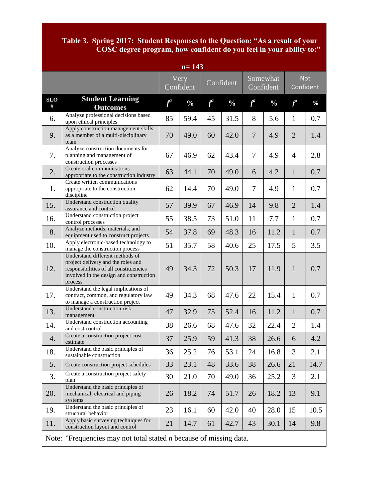## **Table 3. Spring 2017: Student Responses to the Question: "As a result of your COSC degree program, how confident do you feel in your ability to:"**

| $n = 143$                                                                         |                                                                                                                                                                       |       |                   |           |               |                       |               |                |                         |
|-----------------------------------------------------------------------------------|-----------------------------------------------------------------------------------------------------------------------------------------------------------------------|-------|-------------------|-----------|---------------|-----------------------|---------------|----------------|-------------------------|
|                                                                                   |                                                                                                                                                                       |       | Very<br>Confident | Confident |               | Somewhat<br>Confident |               |                | <b>Not</b><br>Confident |
| <b>SLO</b><br>#                                                                   | <b>Student Learning</b><br><b>Outcomes</b>                                                                                                                            | $f^a$ | $\frac{0}{0}$     | $f^a$     | $\frac{0}{0}$ | $f^a$                 | $\frac{0}{0}$ | $f^a$          | %                       |
| 6.                                                                                | Analyze professional decisions based<br>upon ethical principles                                                                                                       | 85    | 59.4              | 45        | 31.5          | 8                     | 5.6           | $\mathbf{1}$   | 0.7                     |
| 9.                                                                                | Apply construction management skills<br>as a member of a multi-disciplinary<br>team                                                                                   | 70    | 49.0              | 60        | 42.0          | $\tau$                | 4.9           | $\overline{2}$ | 1.4                     |
| 7.                                                                                | Analyze construction documents for<br>planning and management of<br>construction processes                                                                            | 67    | 46.9              | 62        | 43.4          | $\overline{7}$        | 4.9           | $\overline{4}$ | 2.8                     |
| 2.                                                                                | Create oral communications<br>appropriate to the construction industry                                                                                                | 63    | 44.1              | 70        | 49.0          | 6                     | 4.2           | $\mathbf{1}$   | 0.7                     |
| 1.                                                                                | Create written communications<br>appropriate to the construction<br>discipline                                                                                        | 62    | 14.4              | 70        | 49.0          | $\tau$                | 4.9           | $\mathbf{1}$   | 0.7                     |
| 15.                                                                               | Understand construction quality<br>assurance and control                                                                                                              | 57    | 39.9              | 67        | 46.9          | 14                    | 9.8           | $\overline{2}$ | 1.4                     |
| 16.                                                                               | Understand construction project<br>control processes                                                                                                                  | 55    | 38.5              | 73        | 51.0          | 11                    | 7.7           | $\mathbf{1}$   | 0.7                     |
| 8.                                                                                | Analyze methods, materials, and<br>equipment used to construct projects                                                                                               | 54    | 37.8              | 69        | 48.3          | 16                    | 11.2          | $\mathbf{1}$   | 0.7                     |
| 10.                                                                               | Apply electronic-based technology to<br>manage the construction process                                                                                               | 51    | 35.7              | 58        | 40.6          | 25                    | 17.5          | 5              | 3.5                     |
| 12.                                                                               | Understand different methods of<br>project delivery and the roles and<br>responsibilities of all constituencies<br>involved in the design and construction<br>process | 49    | 34.3              | 72        | 50.3          | 17                    | 11.9          | $\mathbf{1}$   | 0.7                     |
| 17.                                                                               | Understand the legal implications of<br>contract, common, and regulatory law<br>to manage a construction project                                                      | 49    | 34.3              | 68        | 47.6          | 22                    | 15.4          | $\mathbf{1}$   | 0.7                     |
| 13.                                                                               | Understand construction risk<br>management                                                                                                                            | 47    | 32.9              | 75        | 52.4          | 16                    | 11.2          | $\mathbf{1}$   | 0.7                     |
| 14.                                                                               | Understand construction accounting<br>and cost control                                                                                                                | 38    | 26.6              | 68        | 47.6          | 32                    | 22.4          | $\overline{2}$ | 1.4                     |
| 4.                                                                                | Create a construction project cost<br>estimate                                                                                                                        | 37    | 25.9              | 59        | 41.3          | 38                    | 26.6          | 6              | 4.2                     |
| 18.                                                                               | Understand the basic principles of<br>sustainable construction                                                                                                        | 36    | 25.2              | 76        | 53.1          | 24                    | 16.8          | 3              | 2.1                     |
| 5.                                                                                | Create construction project schedules                                                                                                                                 | 33    | 23.1              | 48        | 33.6          | 38                    | 26.6          | 21             | 14.7                    |
| 3.                                                                                | Create a construction project safety<br>plan                                                                                                                          | 30    | 21.0              | 70        | 49.0          | 36                    | 25.2          | 3              | 2.1                     |
| 20.                                                                               | Understand the basic principles of<br>mechanical, electrical and piping<br>systems                                                                                    | 26    | 18.2              | 74        | 51.7          | 26                    | 18.2          | 13             | 9.1                     |
| 19.                                                                               | Understand the basic principles of<br>structural behavior                                                                                                             | 23    | 16.1              | 60        | 42.0          | 40                    | 28.0          | 15             | 10.5                    |
| 11.                                                                               | Apply basic surveying techniques for<br>construction layout and control                                                                                               | 21    | 14.7              | 61        | 42.7          | 43                    | 30.1          | 14             | 9.8                     |
| Note: ${}^{a}$ Frequencies may not total stated <i>n</i> because of missing data. |                                                                                                                                                                       |       |                   |           |               |                       |               |                |                         |